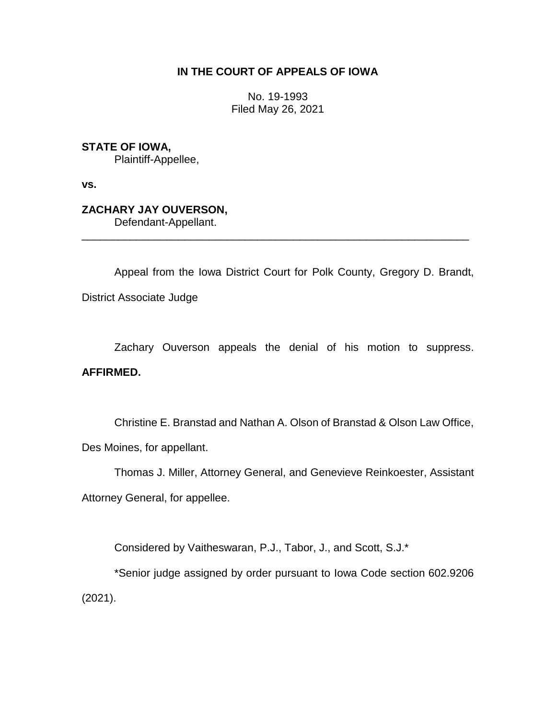## **IN THE COURT OF APPEALS OF IOWA**

No. 19-1993 Filed May 26, 2021

**STATE OF IOWA,**

Plaintiff-Appellee,

**vs.**

# **ZACHARY JAY OUVERSON,**

Defendant-Appellant.

Appeal from the Iowa District Court for Polk County, Gregory D. Brandt, District Associate Judge

\_\_\_\_\_\_\_\_\_\_\_\_\_\_\_\_\_\_\_\_\_\_\_\_\_\_\_\_\_\_\_\_\_\_\_\_\_\_\_\_\_\_\_\_\_\_\_\_\_\_\_\_\_\_\_\_\_\_\_\_\_\_\_\_

Zachary Ouverson appeals the denial of his motion to suppress.

## **AFFIRMED.**

Christine E. Branstad and Nathan A. Olson of Branstad & Olson Law Office, Des Moines, for appellant.

Thomas J. Miller, Attorney General, and Genevieve Reinkoester, Assistant Attorney General, for appellee.

Considered by Vaitheswaran, P.J., Tabor, J., and Scott, S.J.\*

\*Senior judge assigned by order pursuant to Iowa Code section 602.9206 (2021).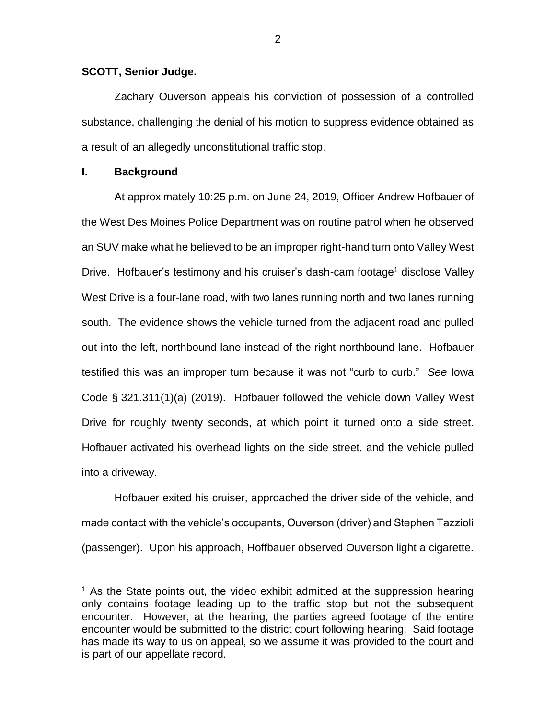#### **SCOTT, Senior Judge.**

Zachary Ouverson appeals his conviction of possession of a controlled substance, challenging the denial of his motion to suppress evidence obtained as a result of an allegedly unconstitutional traffic stop.

#### **I. Background**

 $\overline{a}$ 

At approximately 10:25 p.m. on June 24, 2019, Officer Andrew Hofbauer of the West Des Moines Police Department was on routine patrol when he observed an SUV make what he believed to be an improper right-hand turn onto Valley West Drive. Hofbauer's testimony and his cruiser's dash-cam footage<sup>1</sup> disclose Valley West Drive is a four-lane road, with two lanes running north and two lanes running south. The evidence shows the vehicle turned from the adjacent road and pulled out into the left, northbound lane instead of the right northbound lane. Hofbauer testified this was an improper turn because it was not "curb to curb." *See* Iowa Code § 321.311(1)(a) (2019). Hofbauer followed the vehicle down Valley West Drive for roughly twenty seconds, at which point it turned onto a side street. Hofbauer activated his overhead lights on the side street, and the vehicle pulled into a driveway.

Hofbauer exited his cruiser, approached the driver side of the vehicle, and made contact with the vehicle's occupants, Ouverson (driver) and Stephen Tazzioli (passenger). Upon his approach, Hoffbauer observed Ouverson light a cigarette.

 $<sup>1</sup>$  As the State points out, the video exhibit admitted at the suppression hearing</sup> only contains footage leading up to the traffic stop but not the subsequent encounter. However, at the hearing, the parties agreed footage of the entire encounter would be submitted to the district court following hearing. Said footage has made its way to us on appeal, so we assume it was provided to the court and is part of our appellate record.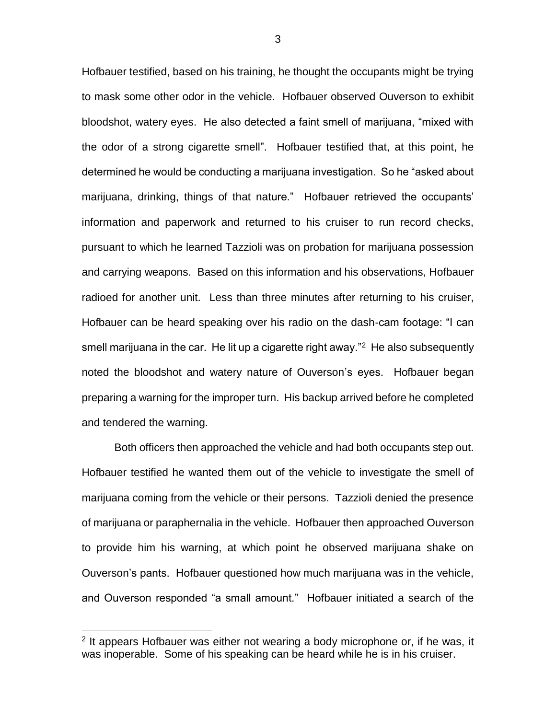Hofbauer testified, based on his training, he thought the occupants might be trying to mask some other odor in the vehicle. Hofbauer observed Ouverson to exhibit bloodshot, watery eyes. He also detected a faint smell of marijuana, "mixed with the odor of a strong cigarette smell". Hofbauer testified that, at this point, he determined he would be conducting a marijuana investigation. So he "asked about marijuana, drinking, things of that nature." Hofbauer retrieved the occupants' information and paperwork and returned to his cruiser to run record checks, pursuant to which he learned Tazzioli was on probation for marijuana possession and carrying weapons. Based on this information and his observations, Hofbauer radioed for another unit. Less than three minutes after returning to his cruiser, Hofbauer can be heard speaking over his radio on the dash-cam footage: "I can smell marijuana in the car. He lit up a cigarette right away."<sup>2</sup> He also subsequently noted the bloodshot and watery nature of Ouverson's eyes. Hofbauer began preparing a warning for the improper turn. His backup arrived before he completed and tendered the warning.

Both officers then approached the vehicle and had both occupants step out. Hofbauer testified he wanted them out of the vehicle to investigate the smell of marijuana coming from the vehicle or their persons. Tazzioli denied the presence of marijuana or paraphernalia in the vehicle. Hofbauer then approached Ouverson to provide him his warning, at which point he observed marijuana shake on Ouverson's pants. Hofbauer questioned how much marijuana was in the vehicle, and Ouverson responded "a small amount." Hofbauer initiated a search of the

 $\overline{a}$ 

<sup>&</sup>lt;sup>2</sup> It appears Hofbauer was either not wearing a body microphone or, if he was, it was inoperable. Some of his speaking can be heard while he is in his cruiser.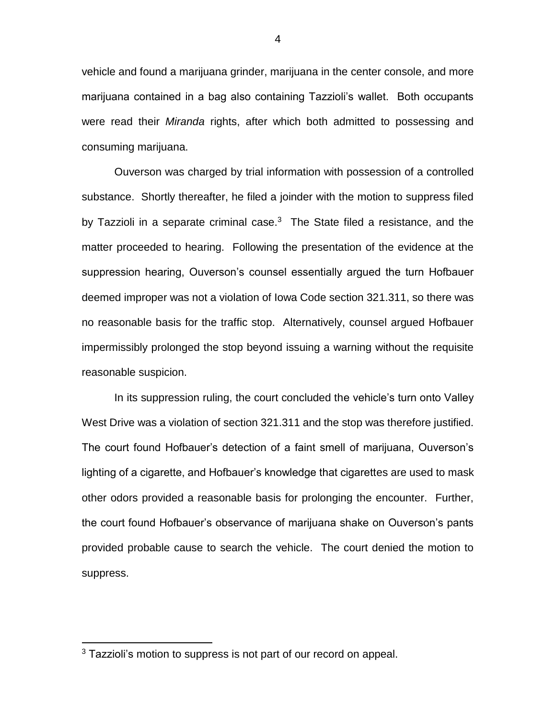vehicle and found a marijuana grinder, marijuana in the center console, and more marijuana contained in a bag also containing Tazzioli's wallet. Both occupants were read their *Miranda* rights, after which both admitted to possessing and consuming marijuana.

Ouverson was charged by trial information with possession of a controlled substance. Shortly thereafter, he filed a joinder with the motion to suppress filed by Tazzioli in a separate criminal case.<sup>3</sup> The State filed a resistance, and the matter proceeded to hearing. Following the presentation of the evidence at the suppression hearing, Ouverson's counsel essentially argued the turn Hofbauer deemed improper was not a violation of Iowa Code section 321.311, so there was no reasonable basis for the traffic stop. Alternatively, counsel argued Hofbauer impermissibly prolonged the stop beyond issuing a warning without the requisite reasonable suspicion.

In its suppression ruling, the court concluded the vehicle's turn onto Valley West Drive was a violation of section 321.311 and the stop was therefore justified. The court found Hofbauer's detection of a faint smell of marijuana, Ouverson's lighting of a cigarette, and Hofbauer's knowledge that cigarettes are used to mask other odors provided a reasonable basis for prolonging the encounter. Further, the court found Hofbauer's observance of marijuana shake on Ouverson's pants provided probable cause to search the vehicle. The court denied the motion to suppress.

 $\overline{a}$ 

<sup>&</sup>lt;sup>3</sup> Tazzioli's motion to suppress is not part of our record on appeal.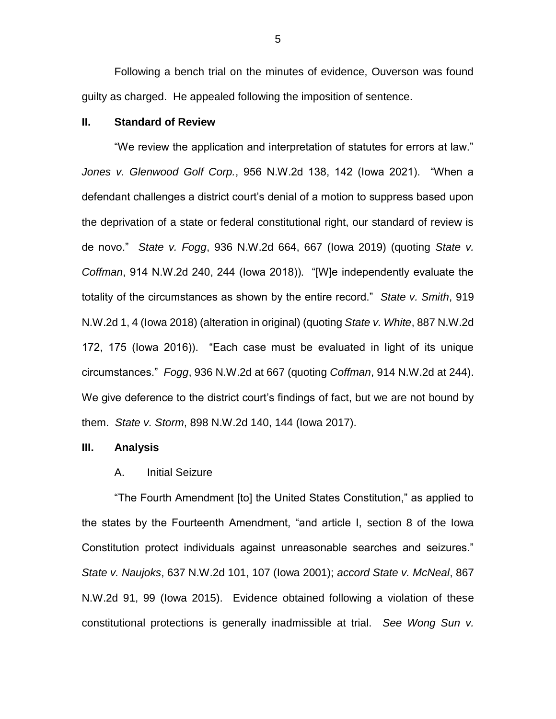Following a bench trial on the minutes of evidence, Ouverson was found guilty as charged. He appealed following the imposition of sentence.

#### **II. Standard of Review**

"We review the application and interpretation of statutes for errors at law." *Jones v. Glenwood Golf Corp.*, 956 N.W.2d 138, 142 (Iowa 2021). "When a defendant challenges a district court's denial of a motion to suppress based upon the deprivation of a state or federal constitutional right, our standard of review is de novo." *State v. Fogg*, 936 N.W.2d 664, 667 (Iowa 2019) (quoting *State v. Coffman*, 914 N.W.2d 240, 244 (Iowa 2018)). "[W]e independently evaluate the totality of the circumstances as shown by the entire record." *State v. Smith*, 919 N.W.2d 1, 4 (Iowa 2018) (alteration in original) (quoting *State v. White*, 887 N.W.2d 172, 175 (Iowa 2016)). "Each case must be evaluated in light of its unique circumstances." *Fogg*, 936 N.W.2d at 667 (quoting *Coffman*, 914 N.W.2d at 244). We give deference to the district court's findings of fact, but we are not bound by them. *State v. Storm*, 898 N.W.2d 140, 144 (Iowa 2017).

#### **III. Analysis**

#### A. Initial Seizure

"The Fourth Amendment [to] the United States Constitution," as applied to the states by the Fourteenth Amendment, "and article I, section 8 of the Iowa Constitution protect individuals against unreasonable searches and seizures." *State v. Naujoks*, 637 N.W.2d 101, 107 (Iowa 2001); *accord State v. McNeal*, 867 N.W.2d 91, 99 (Iowa 2015). Evidence obtained following a violation of these constitutional protections is generally inadmissible at trial. *See Wong Sun v.*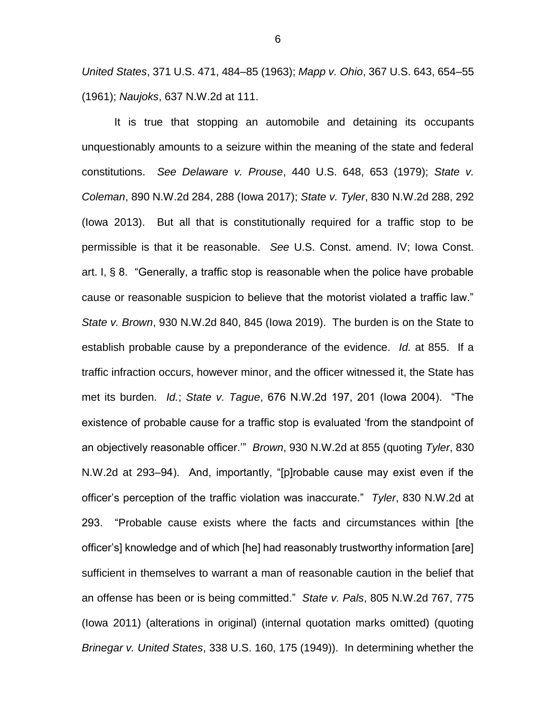*United States*, 371 U.S. 471, 484–85 (1963); *Mapp v. Ohio*, 367 U.S. 643, 654–55 (1961); *Naujoks*, 637 N.W.2d at 111.

It is true that stopping an automobile and detaining its occupants unquestionably amounts to a seizure within the meaning of the state and federal constitutions. *See Delaware v. Prouse*, 440 U.S. 648, 653 (1979); *State v. Coleman*, 890 N.W.2d 284, 288 (Iowa 2017); *State v. Tyler*, 830 N.W.2d 288, 292 (Iowa 2013). But all that is constitutionally required for a traffic stop to be permissible is that it be reasonable. *See* U.S. Const. amend. IV; Iowa Const. art. I, § 8. "Generally, a traffic stop is reasonable when the police have probable cause or reasonable suspicion to believe that the motorist violated a traffic law." *State v. Brown*, 930 N.W.2d 840, 845 (Iowa 2019). The burden is on the State to establish probable cause by a preponderance of the evidence. *Id.* at 855. If a traffic infraction occurs, however minor, and the officer witnessed it, the State has met its burden. *Id.*; *State v. Tague*, 676 N.W.2d 197, 201 (Iowa 2004). "The existence of probable cause for a traffic stop is evaluated 'from the standpoint of an objectively reasonable officer.'" *Brown*, 930 N.W.2d at 855 (quoting *Tyler*, 830 N.W.2d at 293–94). And, importantly, "[p]robable cause may exist even if the officer's perception of the traffic violation was inaccurate." *Tyler*, 830 N.W.2d at 293. "Probable cause exists where the facts and circumstances within [the officer's] knowledge and of which [he] had reasonably trustworthy information [are] sufficient in themselves to warrant a man of reasonable caution in the belief that an offense has been or is being committed." *State v. Pals*, 805 N.W.2d 767, 775 (Iowa 2011) (alterations in original) (internal quotation marks omitted) (quoting *Brinegar v. United States*, 338 U.S. 160, 175 (1949)). In determining whether the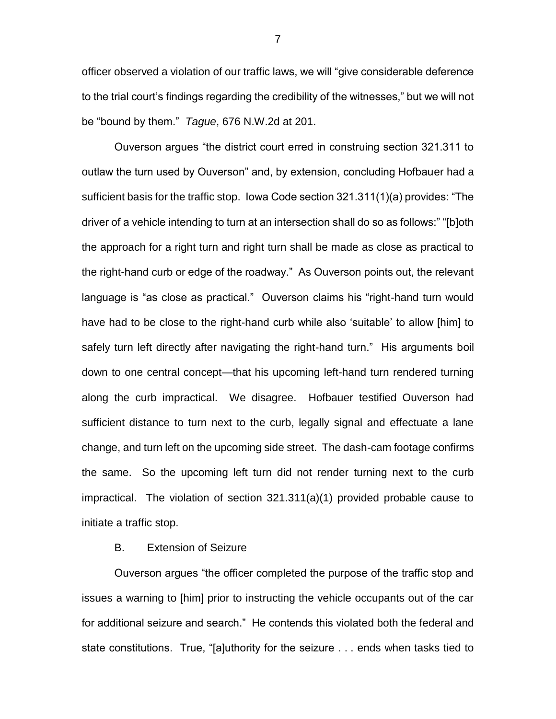officer observed a violation of our traffic laws, we will "give considerable deference to the trial court's findings regarding the credibility of the witnesses," but we will not be "bound by them." *Tague*, 676 N.W.2d at 201.

Ouverson argues "the district court erred in construing section 321.311 to outlaw the turn used by Ouverson" and, by extension, concluding Hofbauer had a sufficient basis for the traffic stop. Iowa Code section 321.311(1)(a) provides: "The driver of a vehicle intending to turn at an intersection shall do so as follows:" "[b]oth the approach for a right turn and right turn shall be made as close as practical to the right-hand curb or edge of the roadway." As Ouverson points out, the relevant language is "as close as practical." Ouverson claims his "right-hand turn would have had to be close to the right-hand curb while also 'suitable' to allow [him] to safely turn left directly after navigating the right-hand turn." His arguments boil down to one central concept—that his upcoming left-hand turn rendered turning along the curb impractical. We disagree. Hofbauer testified Ouverson had sufficient distance to turn next to the curb, legally signal and effectuate a lane change, and turn left on the upcoming side street. The dash-cam footage confirms the same. So the upcoming left turn did not render turning next to the curb impractical. The violation of section 321.311(a)(1) provided probable cause to initiate a traffic stop.

#### B. Extension of Seizure

Ouverson argues "the officer completed the purpose of the traffic stop and issues a warning to [him] prior to instructing the vehicle occupants out of the car for additional seizure and search." He contends this violated both the federal and state constitutions. True, "[a]uthority for the seizure . . . ends when tasks tied to

7